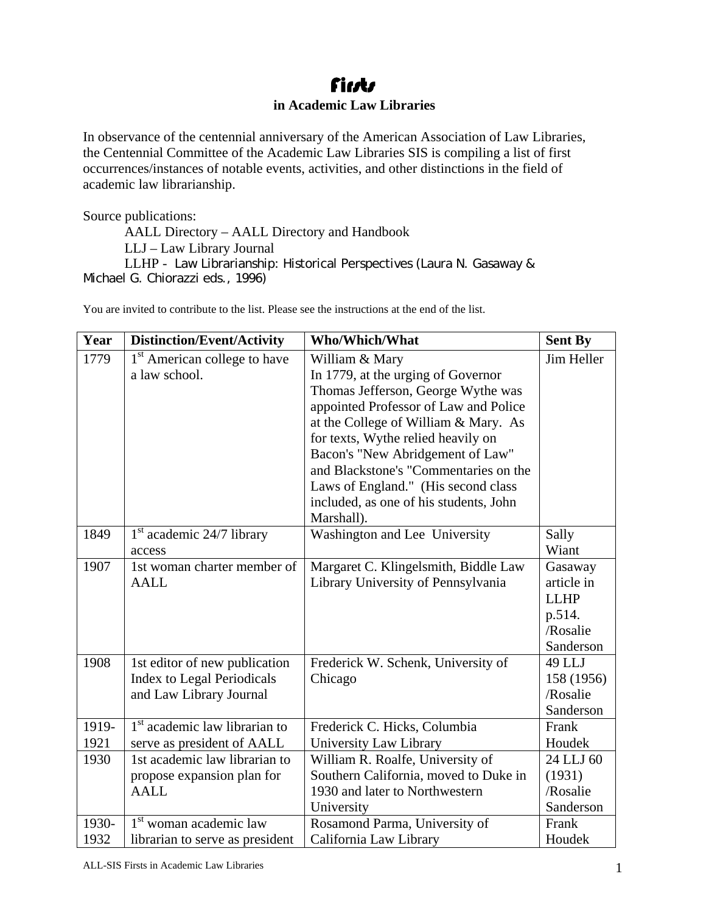## **fints in Academic Law Libraries**

In observance of the centennial anniversary of the American Association of Law Libraries, the Centennial Committee of the Academic Law Libraries SIS is compiling a list of first occurrences/instances of notable events, activities, and other distinctions in the field of academic law librarianship.

Source publications:

AALL Directory – AALL Directory and Handbook

LLJ – Law Library Journal

LLHP - Law Librarianship: Historical Perspectives (Laura N. Gasaway & Michael G. Chiorazzi eds., 1996)

| Year  | <b>Distinction/Event/Activity</b>         | Who/Which/What                         | <b>Sent By</b> |
|-------|-------------------------------------------|----------------------------------------|----------------|
| 1779  | 1 <sup>st</sup> American college to have  | William & Mary                         | Jim Heller     |
|       | a law school.                             | In 1779, at the urging of Governor     |                |
|       |                                           | Thomas Jefferson, George Wythe was     |                |
|       |                                           | appointed Professor of Law and Police  |                |
|       |                                           | at the College of William & Mary. As   |                |
|       |                                           | for texts, Wythe relied heavily on     |                |
|       |                                           | Bacon's "New Abridgement of Law"       |                |
|       |                                           | and Blackstone's "Commentaries on the  |                |
|       |                                           | Laws of England." (His second class    |                |
|       |                                           | included, as one of his students, John |                |
|       |                                           | Marshall).                             |                |
| 1849  | $1st$ academic 24/7 library               | Washington and Lee University          | Sally          |
|       | access                                    |                                        | Wiant          |
| 1907  | 1st woman charter member of               | Margaret C. Klingelsmith, Biddle Law   | Gasaway        |
|       | <b>AALL</b>                               | Library University of Pennsylvania     | article in     |
|       |                                           |                                        | <b>LLHP</b>    |
|       |                                           |                                        | p.514.         |
|       |                                           |                                        | /Rosalie       |
|       |                                           |                                        | Sanderson      |
| 1908  | 1st editor of new publication             | Frederick W. Schenk, University of     | 49 LLJ         |
|       | <b>Index to Legal Periodicals</b>         | Chicago                                | 158 (1956)     |
|       | and Law Library Journal                   |                                        | /Rosalie       |
|       |                                           |                                        | Sanderson      |
| 1919- | 1 <sup>st</sup> academic law librarian to | Frederick C. Hicks, Columbia           | Frank          |
| 1921  | serve as president of AALL                | University Law Library                 | Houdek         |
| 1930  | 1st academic law librarian to             | William R. Roalfe, University of       | 24 LLJ 60      |
|       | propose expansion plan for                | Southern California, moved to Duke in  | (1931)         |
|       | <b>AALL</b>                               | 1930 and later to Northwestern         | /Rosalie       |
|       |                                           | University                             | Sanderson      |
| 1930- | $1st$ woman academic law                  | Rosamond Parma, University of          | Frank          |
| 1932  | librarian to serve as president           | California Law Library                 | Houdek         |

You are invited to contribute to the list. Please see the instructions at the end of the list.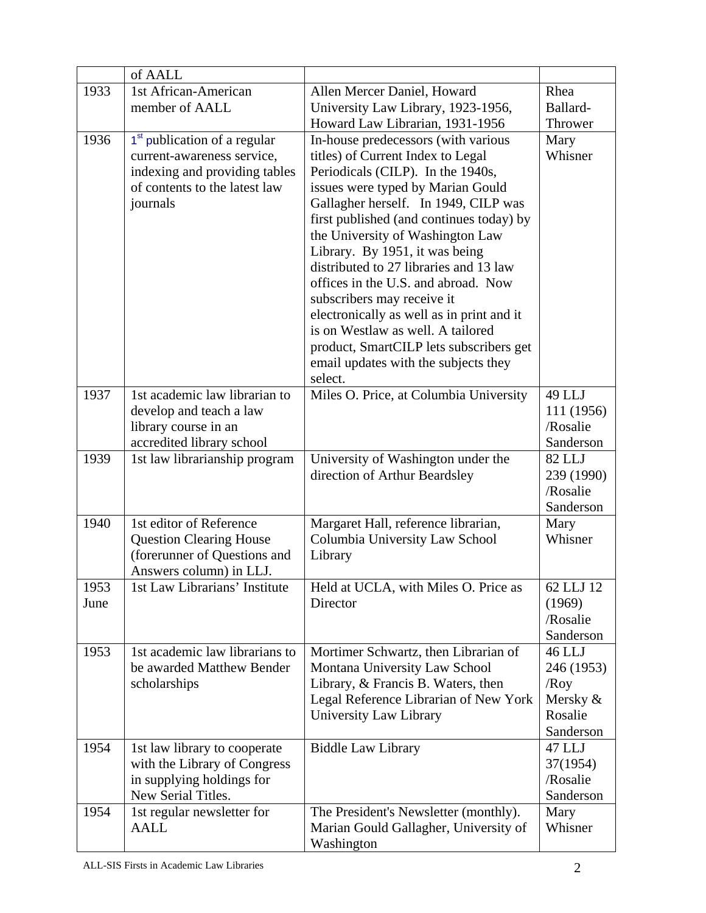|      | of AALL                                  |                                                                   |                       |
|------|------------------------------------------|-------------------------------------------------------------------|-----------------------|
| 1933 | 1st African-American                     | Allen Mercer Daniel, Howard                                       | Rhea                  |
|      | member of AALL                           | University Law Library, 1923-1956,                                |                       |
|      |                                          | Howard Law Librarian, 1931-1956                                   | Thrower               |
| 1936 | 1 <sup>st</sup> publication of a regular | In-house predecessors (with various                               | Mary                  |
|      | current-awareness service,               | titles) of Current Index to Legal                                 | Whisner               |
|      | indexing and providing tables            | Periodicals (CILP). In the 1940s,                                 |                       |
|      | of contents to the latest law            | issues were typed by Marian Gould                                 |                       |
|      | journals                                 | Gallagher herself. In 1949, CILP was                              |                       |
|      |                                          | first published (and continues today) by                          |                       |
|      |                                          | the University of Washington Law                                  |                       |
|      |                                          | Library. By 1951, it was being                                    |                       |
|      |                                          | distributed to 27 libraries and 13 law                            |                       |
|      |                                          | offices in the U.S. and abroad. Now<br>subscribers may receive it |                       |
|      |                                          | electronically as well as in print and it                         |                       |
|      |                                          | is on Westlaw as well. A tailored                                 |                       |
|      |                                          | product, SmartCILP lets subscribers get                           |                       |
|      |                                          | email updates with the subjects they                              |                       |
|      |                                          | select.                                                           |                       |
| 1937 | 1st academic law librarian to            | Miles O. Price, at Columbia University                            | 49 LLJ                |
|      | develop and teach a law                  |                                                                   | 111 (1956)            |
|      | library course in an                     |                                                                   | /Rosalie              |
|      | accredited library school                |                                                                   | Sanderson             |
| 1939 | 1st law librarianship program            | University of Washington under the                                | 82 LLJ                |
|      |                                          | direction of Arthur Beardsley                                     | 239 (1990)            |
|      |                                          |                                                                   | /Rosalie<br>Sanderson |
| 1940 | 1st editor of Reference                  | Margaret Hall, reference librarian,                               | Mary                  |
|      | <b>Question Clearing House</b>           | Columbia University Law School                                    | Whisner               |
|      | (forerunner of Questions and             | Library                                                           |                       |
|      | Answers column) in LLJ.                  |                                                                   |                       |
| 1953 | 1st Law Librarians' Institute            | Held at UCLA, with Miles O. Price as                              | 62 LLJ 12             |
| June |                                          | Director                                                          | (1969)                |
|      |                                          |                                                                   | /Rosalie              |
|      |                                          |                                                                   | Sanderson             |
| 1953 | 1st academic law librarians to           | Mortimer Schwartz, then Librarian of                              | 46 LLJ                |
|      | be awarded Matthew Bender                | Montana University Law School                                     | 246 (1953)            |
|      | scholarships                             | Library, & Francis B. Waters, then                                | /Roy                  |
|      |                                          | Legal Reference Librarian of New York<br>University Law Library   | Mersky &<br>Rosalie   |
|      |                                          |                                                                   | Sanderson             |
| 1954 | 1st law library to cooperate             | <b>Biddle Law Library</b>                                         | 47 LLJ                |
|      | with the Library of Congress             |                                                                   | 37(1954)              |
|      | in supplying holdings for                |                                                                   | /Rosalie              |
|      | New Serial Titles.                       |                                                                   | Sanderson             |
| 1954 | 1st regular newsletter for               | The President's Newsletter (monthly).                             | Mary                  |
|      | <b>AALL</b>                              | Marian Gould Gallagher, University of                             | Whisner               |
|      |                                          | Washington                                                        |                       |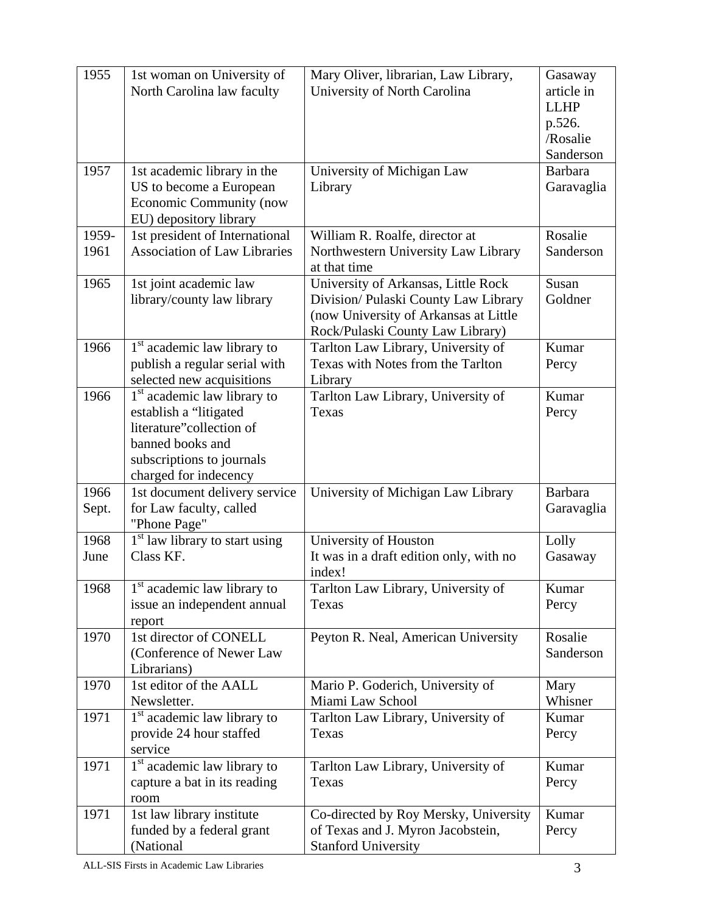| 1955          | 1st woman on University of<br>North Carolina law faculty                                                                                                                | Mary Oliver, librarian, Law Library,<br>University of North Carolina                                                                                     | Gasaway<br>article in<br><b>LLHP</b><br>p.526. |
|---------------|-------------------------------------------------------------------------------------------------------------------------------------------------------------------------|----------------------------------------------------------------------------------------------------------------------------------------------------------|------------------------------------------------|
|               |                                                                                                                                                                         |                                                                                                                                                          | /Rosalie<br>Sanderson                          |
| 1957          | 1st academic library in the<br>US to become a European<br>Economic Community (now<br>EU) depository library                                                             | University of Michigan Law<br>Library                                                                                                                    | <b>Barbara</b><br>Garavaglia                   |
| 1959-<br>1961 | 1st president of International<br><b>Association of Law Libraries</b>                                                                                                   | William R. Roalfe, director at<br>Northwestern University Law Library<br>at that time                                                                    | Rosalie<br>Sanderson                           |
| 1965          | 1st joint academic law<br>library/county law library                                                                                                                    | University of Arkansas, Little Rock<br>Division/ Pulaski County Law Library<br>(now University of Arkansas at Little<br>Rock/Pulaski County Law Library) | Susan<br>Goldner                               |
| 1966          | 1 <sup>st</sup> academic law library to<br>publish a regular serial with<br>selected new acquisitions                                                                   | Tarlton Law Library, University of<br>Texas with Notes from the Tarlton<br>Library                                                                       | Kumar<br>Percy                                 |
| 1966          | 1 <sup>st</sup> academic law library to<br>establish a "litigated<br>literature"collection of<br>banned books and<br>subscriptions to journals<br>charged for indecency | Tarlton Law Library, University of<br>Texas                                                                                                              | Kumar<br>Percy                                 |
| 1966<br>Sept. | 1st document delivery service<br>for Law faculty, called<br>"Phone Page"                                                                                                | University of Michigan Law Library                                                                                                                       | Barbara<br>Garavaglia                          |
| 1968<br>June  | $1st$ law library to start using<br>Class KF.                                                                                                                           | University of Houston<br>It was in a draft edition only, with no<br>index!                                                                               | Lolly<br>Gasaway                               |
| 1968          | 1 <sup>st</sup> academic law library to<br>issue an independent annual<br>report                                                                                        | Tarlton Law Library, University of<br>Texas                                                                                                              | Kumar<br>Percy                                 |
| 1970          | 1st director of CONELL<br>(Conference of Newer Law<br>Librarians)                                                                                                       | Peyton R. Neal, American University                                                                                                                      | Rosalie<br>Sanderson                           |
| 1970          | 1st editor of the AALL<br>Newsletter.                                                                                                                                   | Mario P. Goderich, University of<br>Miami Law School                                                                                                     | Mary<br>Whisner                                |
| 1971          | 1 <sup>st</sup> academic law library to<br>provide 24 hour staffed<br>service                                                                                           | Tarlton Law Library, University of<br>Texas                                                                                                              | Kumar<br>Percy                                 |
| 1971          | 1 <sup>st</sup> academic law library to<br>capture a bat in its reading<br>room                                                                                         | Tarlton Law Library, University of<br>Texas                                                                                                              | Kumar<br>Percy                                 |
| 1971          | 1st law library institute<br>funded by a federal grant<br>(National                                                                                                     | Co-directed by Roy Mersky, University<br>of Texas and J. Myron Jacobstein,<br><b>Stanford University</b>                                                 | Kumar<br>Percy                                 |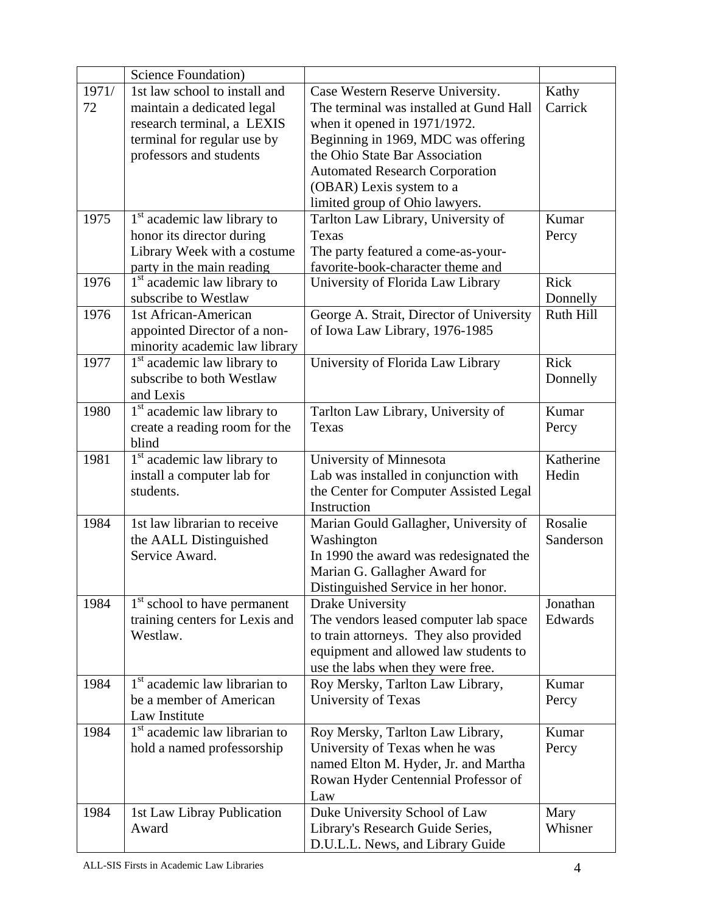|       | <b>Science Foundation</b> )                                              |                                                                             |                |
|-------|--------------------------------------------------------------------------|-----------------------------------------------------------------------------|----------------|
| 1971/ | 1st law school to install and                                            | Case Western Reserve University.                                            | Kathy          |
| 72    | maintain a dedicated legal                                               | The terminal was installed at Gund Hall                                     | Carrick        |
|       | research terminal, a LEXIS                                               | when it opened in 1971/1972.                                                |                |
|       | terminal for regular use by                                              | Beginning in 1969, MDC was offering                                         |                |
|       | professors and students                                                  | the Ohio State Bar Association                                              |                |
|       |                                                                          | <b>Automated Research Corporation</b>                                       |                |
|       |                                                                          | (OBAR) Lexis system to a                                                    |                |
|       |                                                                          | limited group of Ohio lawyers.                                              |                |
| 1975  | $1st$ academic law library to                                            | Tarlton Law Library, University of                                          | Kumar          |
|       | honor its director during                                                | Texas                                                                       | Percy          |
|       | Library Week with a costume                                              | The party featured a come-as-your-                                          |                |
|       | party in the main reading                                                | favorite-book-character theme and                                           |                |
| 1976  | 1 <sup>st</sup> academic law library to                                  | University of Florida Law Library                                           | Rick           |
|       | subscribe to Westlaw                                                     |                                                                             | Donnelly       |
| 1976  | 1st African-American                                                     | George A. Strait, Director of University                                    | Ruth Hill      |
|       | appointed Director of a non-                                             | of Iowa Law Library, 1976-1985                                              |                |
|       | minority academic law library                                            |                                                                             |                |
| 1977  | 1 <sup>st</sup> academic law library to                                  | University of Florida Law Library                                           | Rick           |
|       | subscribe to both Westlaw                                                |                                                                             | Donnelly       |
| 1980  | and Lexis                                                                |                                                                             | Kumar          |
|       | 1 <sup>st</sup> academic law library to<br>create a reading room for the | Tarlton Law Library, University of<br>Texas                                 | Percy          |
|       | blind                                                                    |                                                                             |                |
| 1981  | 1 <sup>st</sup> academic law library to                                  | University of Minnesota                                                     | Katherine      |
|       | install a computer lab for                                               | Lab was installed in conjunction with                                       | Hedin          |
|       | students.                                                                | the Center for Computer Assisted Legal                                      |                |
|       |                                                                          | Instruction                                                                 |                |
| 1984  | 1st law librarian to receive                                             | Marian Gould Gallagher, University of                                       | Rosalie        |
|       | the AALL Distinguished                                                   | Washington                                                                  | Sanderson      |
|       | Service Award.                                                           | In 1990 the award was redesignated the                                      |                |
|       |                                                                          | Marian G. Gallagher Award for                                               |                |
|       |                                                                          | Distinguished Service in her honor.                                         |                |
| 1984  | 1 <sup>st</sup> school to have permanent                                 | Drake University                                                            | Jonathan       |
|       | training centers for Lexis and                                           | The vendors leased computer lab space                                       | Edwards        |
|       | Westlaw.                                                                 | to train attorneys. They also provided                                      |                |
|       |                                                                          | equipment and allowed law students to                                       |                |
|       |                                                                          | use the labs when they were free.                                           |                |
| 1984  | 1 <sup>st</sup> academic law librarian to                                | Roy Mersky, Tarlton Law Library,                                            | Kumar          |
|       | be a member of American                                                  | University of Texas                                                         | Percy          |
|       | Law Institute<br>1 <sup>st</sup> academic law librarian to               |                                                                             |                |
| 1984  | hold a named professorship                                               | Roy Mersky, Tarlton Law Library,<br>University of Texas when he was         | Kumar<br>Percy |
|       |                                                                          |                                                                             |                |
|       |                                                                          | named Elton M. Hyder, Jr. and Martha<br>Rowan Hyder Centennial Professor of |                |
|       |                                                                          | Law                                                                         |                |
| 1984  | 1st Law Libray Publication                                               | Duke University School of Law                                               | Mary           |
|       | Award                                                                    | Library's Research Guide Series,                                            | Whisner        |
|       |                                                                          | D.U.L.L. News, and Library Guide                                            |                |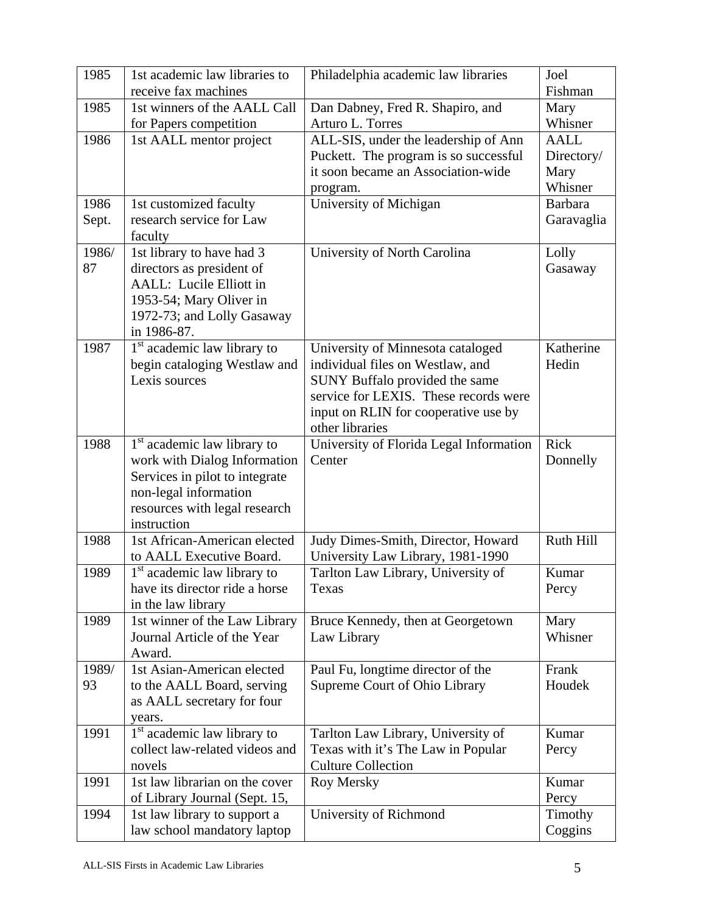| 1985  | 1st academic law libraries to                     | Philadelphia academic law libraries     | Joel        |
|-------|---------------------------------------------------|-----------------------------------------|-------------|
|       | receive fax machines                              |                                         | Fishman     |
| 1985  | 1st winners of the AALL Call                      | Dan Dabney, Fred R. Shapiro, and        | Mary        |
|       | for Papers competition                            | Arturo L. Torres                        | Whisner     |
| 1986  | 1st AALL mentor project                           | ALL-SIS, under the leadership of Ann    | <b>AALL</b> |
|       |                                                   | Puckett. The program is so successful   | Directory/  |
|       |                                                   | it soon became an Association-wide      | Mary        |
|       |                                                   | program.                                | Whisner     |
| 1986  | 1st customized faculty                            | University of Michigan                  | Barbara     |
| Sept. | research service for Law                          |                                         | Garavaglia  |
|       | faculty                                           |                                         |             |
| 1986/ | 1st library to have had 3                         | University of North Carolina            | Lolly       |
| 87    | directors as president of                         |                                         | Gasaway     |
|       | AALL: Lucile Elliott in                           |                                         |             |
|       | 1953-54; Mary Oliver in                           |                                         |             |
|       | 1972-73; and Lolly Gasaway                        |                                         |             |
|       | in 1986-87.                                       |                                         |             |
| 1987  | 1 <sup>st</sup> academic law library to           | University of Minnesota cataloged       | Katherine   |
|       | begin cataloging Westlaw and                      | individual files on Westlaw, and        | Hedin       |
|       | Lexis sources                                     | SUNY Buffalo provided the same          |             |
|       |                                                   | service for LEXIS. These records were   |             |
|       |                                                   | input on RLIN for cooperative use by    |             |
|       |                                                   | other libraries                         |             |
| 1988  | 1 <sup>st</sup> academic law library to           | University of Florida Legal Information | Rick        |
|       | work with Dialog Information                      | Center                                  | Donnelly    |
|       | Services in pilot to integrate                    |                                         |             |
|       | non-legal information                             |                                         |             |
|       | resources with legal research                     |                                         |             |
|       | instruction                                       |                                         |             |
| 1988  | 1st African-American elected                      | Judy Dimes-Smith, Director, Howard      | Ruth Hill   |
|       | to AALL Executive Board.                          | University Law Library, 1981-1990       |             |
| 1989  | 1 <sup>st</sup> academic law library to           | Tarlton Law Library, University of      | Kumar       |
|       | have its director ride a horse                    | Texas                                   | Percy       |
|       | in the law library                                |                                         |             |
| 1989  | 1st winner of the Law Library                     | Bruce Kennedy, then at Georgetown       | Mary        |
|       | Journal Article of the Year                       | Law Library                             | Whisner     |
| 1989/ | Award.<br>1st Asian-American elected              |                                         | Frank       |
| 93    | to the AALL Board, serving                        | Paul Fu, longtime director of the       | Houdek      |
|       |                                                   | Supreme Court of Ohio Library           |             |
|       | as AALL secretary for four                        |                                         |             |
| 1991  | years.<br>1 <sup>st</sup> academic law library to | Tarlton Law Library, University of      | Kumar       |
|       | collect law-related videos and                    | Texas with it's The Law in Popular      | Percy       |
|       | novels                                            | <b>Culture Collection</b>               |             |
| 1991  | 1st law librarian on the cover                    | Roy Mersky                              | Kumar       |
|       | of Library Journal (Sept. 15,                     |                                         | Percy       |
| 1994  | 1st law library to support a                      | University of Richmond                  | Timothy     |
|       | law school mandatory laptop                       |                                         | Coggins     |
|       |                                                   |                                         |             |